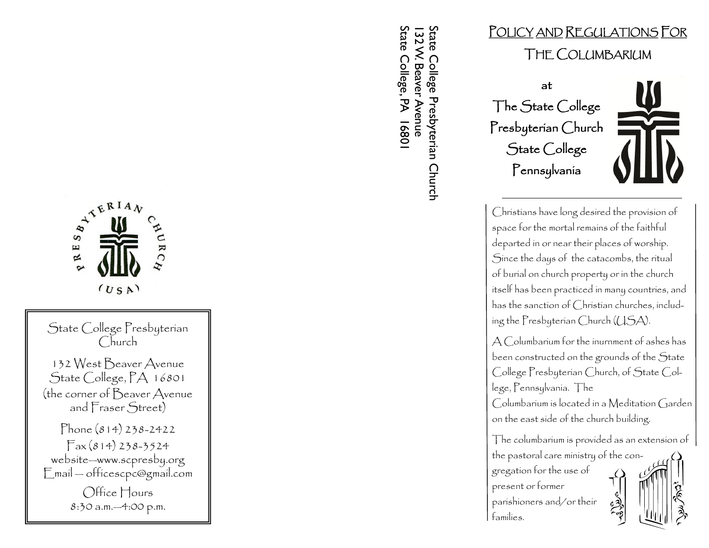# $\begin{array}{ccc}\n\text{POLICY} & \text{POLICY} & \text{RICGULATIONS FOR} \\
\text{RIS} & \text{RIS} & \text{RICGULATIONS FOR} \\
\text{RIS} & \text{RIS} & \text{RICGULATIONS FOR}\n\end{array}$



State College, PA 16801 132 W. Beaver Avenue State College Presbyterian Church

Presbyterian Church

Christians have long desired the provision of space for the mortal remains of the faithful departed in or near their places of worship. Since the days of the catacombs, the ritual of burial on church property or in the church itself has been practiced in many countries, and has the sanction of Christian churches, including the Presbyterian Church (USA).

A Columbarium for the inurnment of ashes has been constructed on the grounds of the State College Presbyterian Church, of State College, Pennsylvania. The Columbarium is located in a Meditation Garden on the east side of the church building.

The columbarium is provided as an extension of the pastoral care ministry of the congregation for the use of present or former parishioners and/or their رده<br>پيدا families.



State College Presbyterian Church 132 West Beaver Avenue State College, PA 16801 (the corner of Beaver Avenue and Fraser Street) Phone (814) 238 -2422  $\Gamma$ ax (814) 238-3524 website —www.scpresby.org Email — officescpc@gmail.com Office Hours 8:30 a.m. —4:00 p.m.